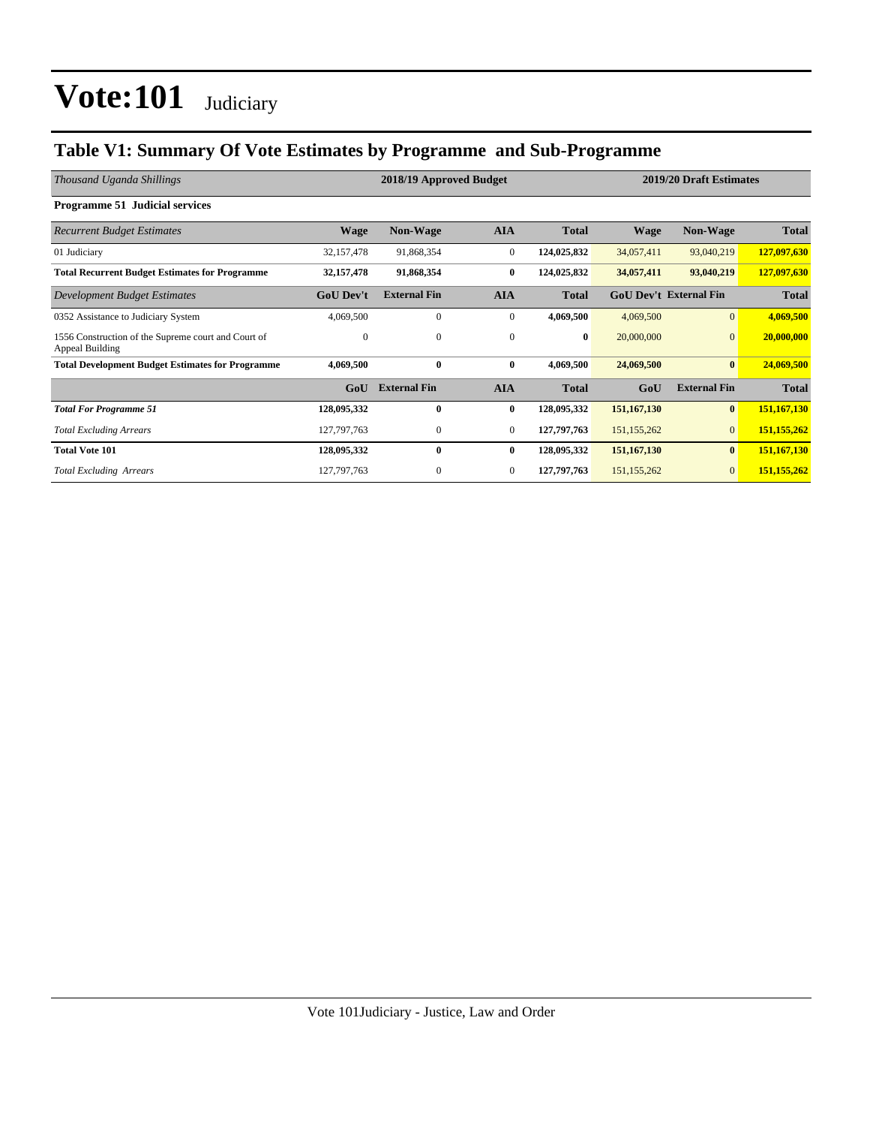### **Table V1: Summary Of Vote Estimates by Programme and Sub-Programme**

| Thousand Uganda Shillings                                              |                  | 2018/19 Approved Budget |              |              |             | 2019/20 Draft Estimates       |              |
|------------------------------------------------------------------------|------------------|-------------------------|--------------|--------------|-------------|-------------------------------|--------------|
| <b>Programme 51 Judicial services</b>                                  |                  |                         |              |              |             |                               |              |
| <b>Recurrent Budget Estimates</b>                                      | <b>Wage</b>      | <b>Non-Wage</b>         | <b>AIA</b>   | <b>Total</b> | <b>Wage</b> | <b>Non-Wage</b>               | <b>Total</b> |
| 01 Judiciary                                                           | 32,157,478       | 91,868,354              | $\mathbf{0}$ | 124,025,832  | 34,057,411  | 93,040,219                    | 127,097,630  |
| <b>Total Recurrent Budget Estimates for Programme</b>                  | 32, 157, 478     | 91,868,354              | $\bf{0}$     | 124,025,832  | 34,057,411  | 93,040,219                    | 127,097,630  |
| Development Budget Estimates                                           | <b>GoU Dev't</b> | <b>External Fin</b>     | <b>AIA</b>   | <b>Total</b> |             | <b>GoU Dev't External Fin</b> | <b>Total</b> |
| 0352 Assistance to Judiciary System                                    | 4,069,500        | 0                       | $\bf{0}$     | 4,069,500    | 4,069,500   | $\vert 0 \vert$               | 4,069,500    |
| 1556 Construction of the Supreme court and Court of<br>Appeal Building | $\Omega$         | $\mathbf{0}$            | $\mathbf{0}$ | $\bf{0}$     | 20,000,000  | $\overline{0}$                | 20,000,000   |
| <b>Total Development Budget Estimates for Programme</b>                | 4,069,500        | $\bf{0}$                | $\bf{0}$     | 4,069,500    | 24,069,500  | $\bf{0}$                      | 24,069,500   |
|                                                                        | GoU              | <b>External Fin</b>     | <b>AIA</b>   | <b>Total</b> | GoU         | <b>External Fin</b>           | <b>Total</b> |
| <b>Total For Programme 51</b>                                          | 128,095,332      | $\bf{0}$                | $\bf{0}$     | 128,095,332  | 151,167,130 | $\bf{0}$                      | 151,167,130  |
| <b>Total Excluding Arrears</b>                                         | 127, 797, 763    | $\mathbf{0}$            | $\mathbf{0}$ | 127,797,763  | 151,155,262 | $\overline{0}$                | 151,155,262  |
| <b>Total Vote 101</b>                                                  | 128,095,332      | $\bf{0}$                | $\bf{0}$     | 128,095,332  | 151,167,130 | $\bf{0}$                      | 151,167,130  |
| <b>Total Excluding Arrears</b>                                         | 127,797,763      | 0                       | $\bf{0}$     | 127,797,763  | 151,155,262 | $\overline{0}$                | 151,155,262  |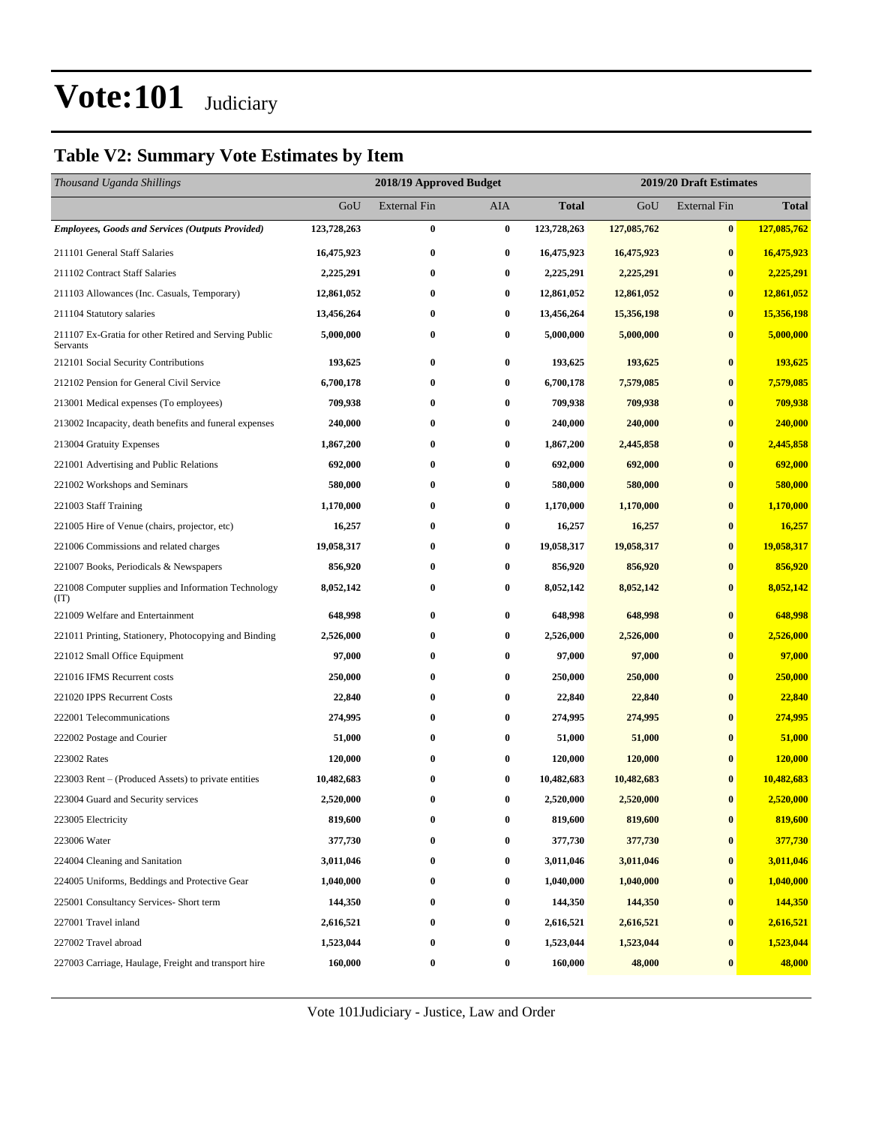### **Table V2: Summary Vote Estimates by Item**

| Thousand Uganda Shillings                                         |             | 2018/19 Approved Budget |                  |              |             | 2019/20 Draft Estimates |              |
|-------------------------------------------------------------------|-------------|-------------------------|------------------|--------------|-------------|-------------------------|--------------|
|                                                                   | GoU         | <b>External Fin</b>     | AIA              | <b>Total</b> | GoU         | <b>External Fin</b>     | <b>Total</b> |
| <b>Employees, Goods and Services (Outputs Provided)</b>           | 123,728,263 | $\bf{0}$                | $\bf{0}$         | 123,728,263  | 127,085,762 | $\bf{0}$                | 127,085,762  |
| 211101 General Staff Salaries                                     | 16,475,923  | $\bf{0}$                | $\bf{0}$         | 16,475,923   | 16,475,923  | $\bf{0}$                | 16,475,923   |
| 211102 Contract Staff Salaries                                    | 2,225,291   | $\bf{0}$                | $\bf{0}$         | 2,225,291    | 2,225,291   | $\bf{0}$                | 2,225,291    |
| 211103 Allowances (Inc. Casuals, Temporary)                       | 12,861,052  | $\bf{0}$                | $\bf{0}$         | 12,861,052   | 12,861,052  | $\bf{0}$                | 12,861,052   |
| 211104 Statutory salaries                                         | 13,456,264  | $\bf{0}$                | $\bf{0}$         | 13,456,264   | 15,356,198  | $\bf{0}$                | 15,356,198   |
| 211107 Ex-Gratia for other Retired and Serving Public<br>Servants | 5,000,000   | $\bf{0}$                | $\bf{0}$         | 5,000,000    | 5,000,000   | $\bf{0}$                | 5,000,000    |
| 212101 Social Security Contributions                              | 193,625     | $\bf{0}$                | $\bf{0}$         | 193,625      | 193,625     | $\bf{0}$                | 193,625      |
| 212102 Pension for General Civil Service                          | 6,700,178   | $\bf{0}$                | $\bf{0}$         | 6,700,178    | 7,579,085   | $\bf{0}$                | 7,579,085    |
| 213001 Medical expenses (To employees)                            | 709,938     | $\bf{0}$                | $\bf{0}$         | 709,938      | 709,938     | $\bf{0}$                | 709,938      |
| 213002 Incapacity, death benefits and funeral expenses            | 240,000     | $\bf{0}$                | 0                | 240,000      | 240,000     | $\bf{0}$                | 240,000      |
| 213004 Gratuity Expenses                                          | 1,867,200   | $\bf{0}$                | $\bf{0}$         | 1,867,200    | 2,445,858   | $\bf{0}$                | 2,445,858    |
| 221001 Advertising and Public Relations                           | 692,000     | $\bf{0}$                | $\bf{0}$         | 692,000      | 692,000     | $\bf{0}$                | 692,000      |
| 221002 Workshops and Seminars                                     | 580,000     | $\bf{0}$                | $\bf{0}$         | 580,000      | 580,000     | $\bf{0}$                | 580,000      |
| 221003 Staff Training                                             | 1,170,000   | $\bf{0}$                | $\bf{0}$         | 1,170,000    | 1,170,000   | $\bf{0}$                | 1,170,000    |
| 221005 Hire of Venue (chairs, projector, etc)                     | 16,257      | $\bf{0}$                | 0                | 16,257       | 16,257      | $\bf{0}$                | 16,257       |
| 221006 Commissions and related charges                            | 19,058,317  | $\bf{0}$                | $\bf{0}$         | 19,058,317   | 19,058,317  | $\bf{0}$                | 19,058,317   |
| 221007 Books, Periodicals & Newspapers                            | 856,920     | $\bf{0}$                | $\bf{0}$         | 856,920      | 856,920     | $\bf{0}$                | 856,920      |
| 221008 Computer supplies and Information Technology<br>(TT)       | 8,052,142   | $\bf{0}$                | $\bf{0}$         | 8,052,142    | 8,052,142   | $\bf{0}$                | 8,052,142    |
| 221009 Welfare and Entertainment                                  | 648,998     | $\bf{0}$                | $\bf{0}$         | 648,998      | 648,998     | $\bf{0}$                | 648,998      |
| 221011 Printing, Stationery, Photocopying and Binding             | 2,526,000   | $\bf{0}$                | 0                | 2,526,000    | 2,526,000   | $\bf{0}$                | 2,526,000    |
| 221012 Small Office Equipment                                     | 97,000      | $\bf{0}$                | $\bf{0}$         | 97,000       | 97,000      | $\bf{0}$                | 97,000       |
| 221016 IFMS Recurrent costs                                       | 250,000     | $\bf{0}$                | $\bf{0}$         | 250,000      | 250,000     | $\bf{0}$                | 250,000      |
| 221020 IPPS Recurrent Costs                                       | 22,840      | $\bf{0}$                | $\bf{0}$         | 22,840       | 22,840      | $\bf{0}$                | 22,840       |
| 222001 Telecommunications                                         | 274,995     | $\bf{0}$                | $\bf{0}$         | 274,995      | 274,995     | $\bf{0}$                | 274,995      |
| 222002 Postage and Courier                                        | 51,000      | $\bf{0}$                | 0                | 51,000       | 51,000      | $\bf{0}$                | 51,000       |
| 223002 Rates                                                      | 120,000     | $\bf{0}$                | $\bf{0}$         | 120,000      | 120,000     | $\bf{0}$                | 120,000      |
| 223003 Rent – (Produced Assets) to private entities               | 10,482,683  | $\bf{0}$                | $\bf{0}$         | 10,482,683   | 10,482,683  | $\bf{0}$                | 10,482,683   |
| 223004 Guard and Security services                                | 2,520,000   | $\bf{0}$                | $\bf{0}$         | 2,520,000    | 2,520,000   | $\bf{0}$                | 2,520,000    |
| 223005 Electricity                                                | 819,600     | $\bf{0}$                | $\bf{0}$         | 819,600      | 819,600     | $\bf{0}$                | 819,600      |
| 223006 Water                                                      | 377,730     | $\bf{0}$                | $\bf{0}$         | 377,730      | 377,730     | $\bf{0}$                | 377,730      |
| 224004 Cleaning and Sanitation                                    | 3,011,046   | $\bf{0}$                | $\bf{0}$         | 3,011,046    | 3,011,046   | $\bf{0}$                | 3,011,046    |
| 224005 Uniforms, Beddings and Protective Gear                     | 1,040,000   | $\bf{0}$                | $\bf{0}$         | 1,040,000    | 1,040,000   | $\bf{0}$                | 1,040,000    |
| 225001 Consultancy Services- Short term                           | 144,350     | $\bf{0}$                | $\bf{0}$         | 144,350      | 144,350     | $\bf{0}$                | 144,350      |
| 227001 Travel inland                                              | 2,616,521   | $\bf{0}$                | $\bf{0}$         | 2,616,521    | 2,616,521   | $\bf{0}$                | 2,616,521    |
| 227002 Travel abroad                                              | 1,523,044   | $\bf{0}$                | $\bf{0}$         | 1,523,044    | 1,523,044   | $\bf{0}$                | 1,523,044    |
| 227003 Carriage, Haulage, Freight and transport hire              | 160,000     | $\boldsymbol{0}$        | $\boldsymbol{0}$ | 160,000      | 48,000      | $\bf{0}$                | 48,000       |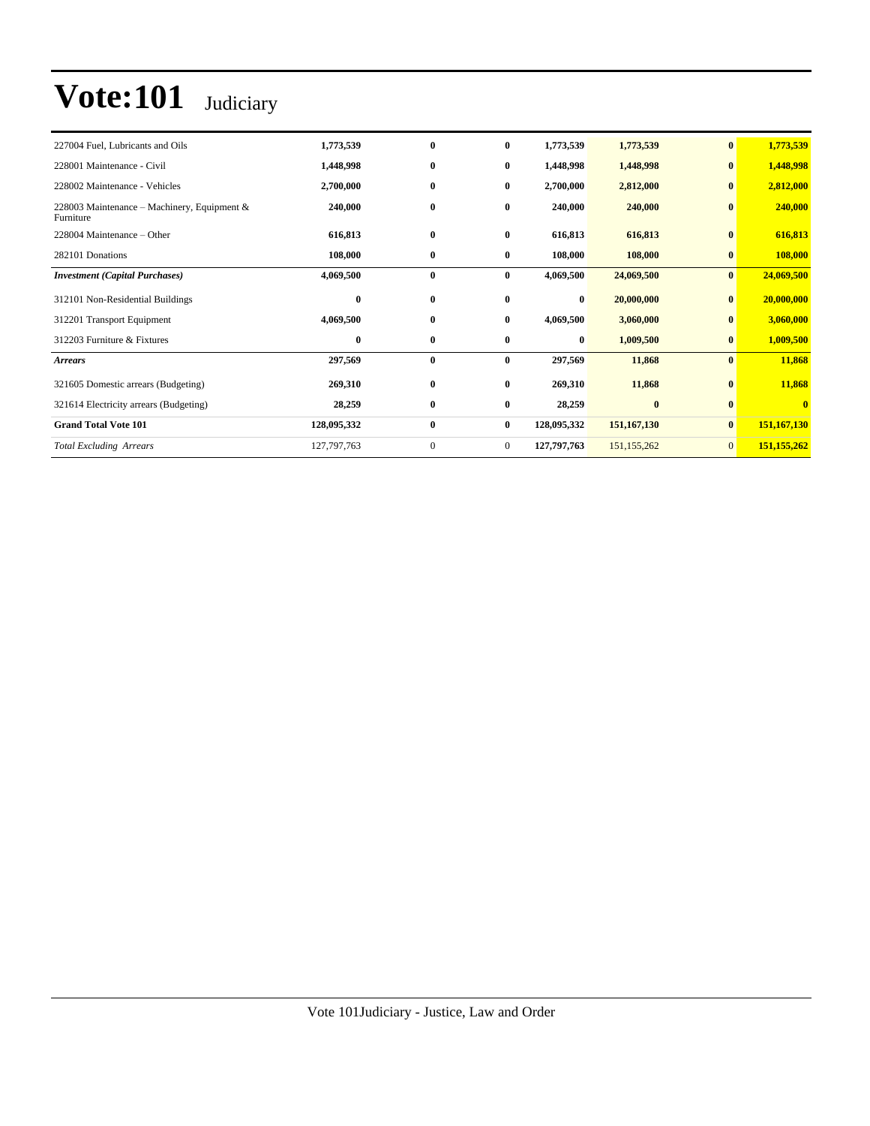| 227004 Fuel, Lubricants and Oils                         | 1,773,539   | $\bf{0}$     | $\bf{0}$       | 1,773,539   | 1,773,539     | $\bf{0}$       | 1,773,539   |
|----------------------------------------------------------|-------------|--------------|----------------|-------------|---------------|----------------|-------------|
| 228001 Maintenance - Civil                               | 1,448,998   | $\bf{0}$     | $\bf{0}$       | 1,448,998   | 1,448,998     | $\bf{0}$       | 1,448,998   |
| 228002 Maintenance - Vehicles                            | 2,700,000   | $\bf{0}$     | $\bf{0}$       | 2,700,000   | 2,812,000     | $\bf{0}$       | 2,812,000   |
| 228003 Maintenance - Machinery, Equipment &<br>Furniture | 240,000     | $\bf{0}$     | $\bf{0}$       | 240,000     | 240,000       | $\bf{0}$       | 240,000     |
| 228004 Maintenance – Other                               | 616,813     | $\bf{0}$     | $\bf{0}$       | 616,813     | 616,813       | $\bf{0}$       | 616,813     |
| 282101 Donations                                         | 108,000     | $\bf{0}$     | $\bf{0}$       | 108,000     | 108,000       | $\bf{0}$       | 108,000     |
| <b>Investment</b> (Capital Purchases)                    | 4,069,500   | $\bf{0}$     | $\bf{0}$       | 4,069,500   | 24,069,500    | $\bf{0}$       | 24,069,500  |
| 312101 Non-Residential Buildings                         | $\bf{0}$    | $\bf{0}$     | $\bf{0}$       | $\bf{0}$    | 20,000,000    | $\bf{0}$       | 20,000,000  |
| 312201 Transport Equipment                               | 4,069,500   | $\bf{0}$     | $\bf{0}$       | 4,069,500   | 3,060,000     | $\bf{0}$       | 3,060,000   |
| 312203 Furniture & Fixtures                              | $\bf{0}$    | $\bf{0}$     | $\bf{0}$       | $\bf{0}$    | 1,009,500     | $\bf{0}$       | 1,009,500   |
| <b>Arrears</b>                                           | 297,569     | $\bf{0}$     | $\bf{0}$       | 297,569     | 11,868        | $\bf{0}$       | 11,868      |
| 321605 Domestic arrears (Budgeting)                      | 269,310     | $\bf{0}$     | $\bf{0}$       | 269,310     | 11,868        | $\bf{0}$       | 11,868      |
| 321614 Electricity arrears (Budgeting)                   | 28,259      | $\bf{0}$     | $\bf{0}$       | 28,259      | $\bf{0}$      | $\bf{0}$       | $\bf{0}$    |
| <b>Grand Total Vote 101</b>                              | 128,095,332 | $\bf{0}$     | $\bf{0}$       | 128,095,332 | 151,167,130   | $\bf{0}$       | 151,167,130 |
| <b>Total Excluding Arrears</b>                           | 127,797,763 | $\mathbf{0}$ | $\overline{0}$ | 127,797,763 | 151, 155, 262 | $\overline{0}$ | 151,155,262 |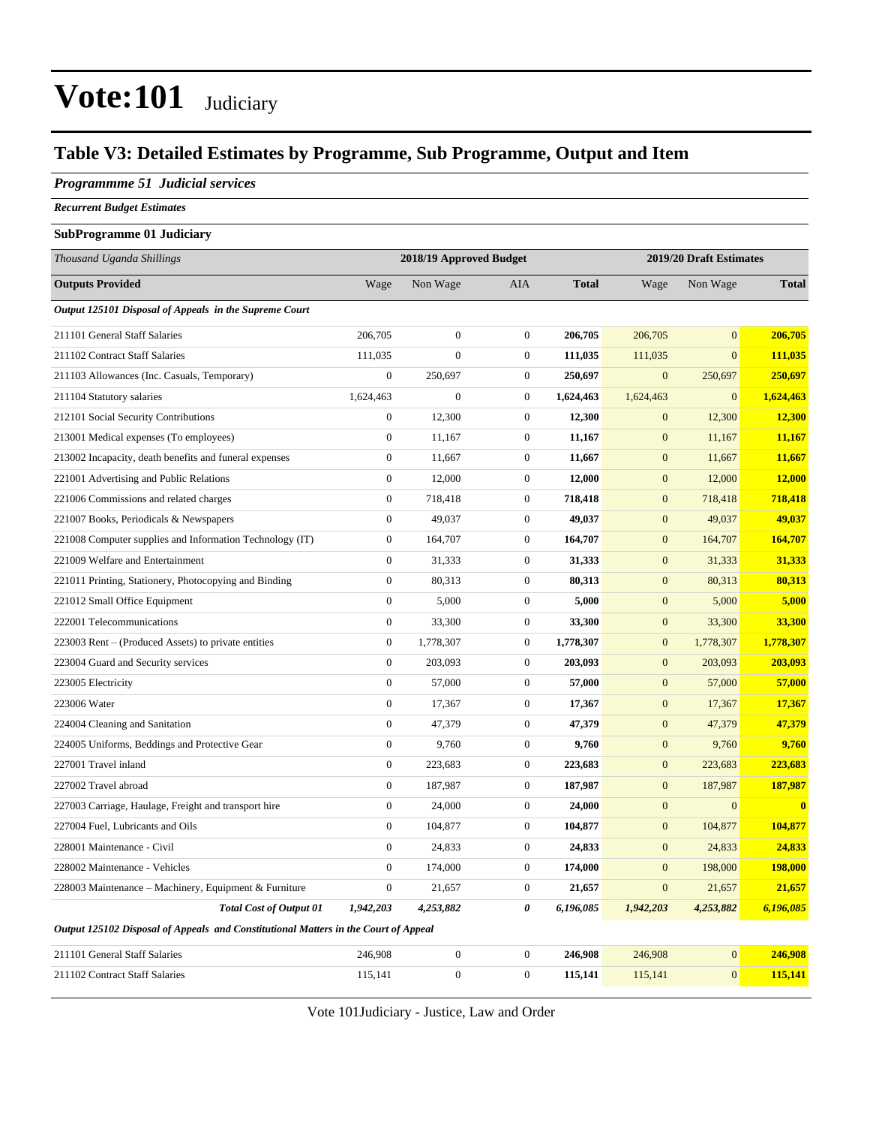### **Table V3: Detailed Estimates by Programme, Sub Programme, Output and Item**

#### *Programmme 51 Judicial services*

*Recurrent Budget Estimates*

#### **SubProgramme 01 Judiciary**

| Thousand Uganda Shillings                                                           |                  | 2018/19 Approved Budget |                  |              |                  | 2019/20 Draft Estimates |              |
|-------------------------------------------------------------------------------------|------------------|-------------------------|------------------|--------------|------------------|-------------------------|--------------|
| <b>Outputs Provided</b>                                                             | Wage             | Non Wage                | AIA              | <b>Total</b> | Wage             | Non Wage                | <b>Total</b> |
| Output 125101 Disposal of Appeals in the Supreme Court                              |                  |                         |                  |              |                  |                         |              |
| 211101 General Staff Salaries                                                       | 206,705          | $\boldsymbol{0}$        | $\mathbf{0}$     | 206,705      | 206,705          | $\overline{0}$          | 206,705      |
| 211102 Contract Staff Salaries                                                      | 111,035          | $\mathbf{0}$            | $\mathbf{0}$     | 111,035      | 111,035          | $\overline{0}$          | 111,035      |
| 211103 Allowances (Inc. Casuals, Temporary)                                         | $\boldsymbol{0}$ | 250,697                 | $\mathbf{0}$     | 250,697      | $\mathbf{0}$     | 250,697                 | 250,697      |
| 211104 Statutory salaries                                                           | 1,624,463        | $\boldsymbol{0}$        | $\mathbf{0}$     | 1,624,463    | 1,624,463        | $\mathbf{0}$            | 1,624,463    |
| 212101 Social Security Contributions                                                | $\boldsymbol{0}$ | 12,300                  | $\mathbf{0}$     | 12,300       | $\boldsymbol{0}$ | 12,300                  | 12,300       |
| 213001 Medical expenses (To employees)                                              | $\boldsymbol{0}$ | 11,167                  | $\mathbf{0}$     | 11,167       | $\mathbf{0}$     | 11,167                  | 11,167       |
| 213002 Incapacity, death benefits and funeral expenses                              | $\boldsymbol{0}$ | 11,667                  | $\boldsymbol{0}$ | 11,667       | $\mathbf{0}$     | 11,667                  | 11,667       |
| 221001 Advertising and Public Relations                                             | $\overline{0}$   | 12,000                  | $\mathbf{0}$     | 12,000       | $\mathbf{0}$     | 12,000                  | 12,000       |
| 221006 Commissions and related charges                                              | $\boldsymbol{0}$ | 718,418                 | $\mathbf{0}$     | 718,418      | $\mathbf{0}$     | 718,418                 | 718,418      |
| 221007 Books, Periodicals & Newspapers                                              | $\overline{0}$   | 49,037                  | $\mathbf{0}$     | 49,037       | $\mathbf{0}$     | 49,037                  | 49,037       |
| 221008 Computer supplies and Information Technology (IT)                            | $\boldsymbol{0}$ | 164,707                 | $\mathbf{0}$     | 164,707      | $\mathbf{0}$     | 164,707                 | 164,707      |
| 221009 Welfare and Entertainment                                                    | $\overline{0}$   | 31,333                  | $\overline{0}$   | 31,333       | $\overline{0}$   | 31,333                  | 31,333       |
| 221011 Printing, Stationery, Photocopying and Binding                               | $\boldsymbol{0}$ | 80,313                  | $\mathbf{0}$     | 80,313       | $\mathbf{0}$     | 80,313                  | 80,313       |
| 221012 Small Office Equipment                                                       | $\boldsymbol{0}$ | 5,000                   | $\boldsymbol{0}$ | 5,000        | $\boldsymbol{0}$ | 5,000                   | 5,000        |
| 222001 Telecommunications                                                           | $\boldsymbol{0}$ | 33,300                  | $\mathbf{0}$     | 33,300       | $\boldsymbol{0}$ | 33,300                  | 33,300       |
| 223003 Rent – (Produced Assets) to private entities                                 | $\boldsymbol{0}$ | 1,778,307               | $\boldsymbol{0}$ | 1,778,307    | $\boldsymbol{0}$ | 1,778,307               | 1,778,307    |
| 223004 Guard and Security services                                                  | $\boldsymbol{0}$ | 203,093                 | $\mathbf{0}$     | 203,093      | $\mathbf{0}$     | 203,093                 | 203,093      |
| 223005 Electricity                                                                  | $\boldsymbol{0}$ | 57,000                  | $\mathbf{0}$     | 57,000       | $\mathbf{0}$     | 57,000                  | 57,000       |
| 223006 Water                                                                        | $\overline{0}$   | 17,367                  | $\mathbf{0}$     | 17,367       | $\mathbf{0}$     | 17,367                  | 17,367       |
| 224004 Cleaning and Sanitation                                                      | $\boldsymbol{0}$ | 47,379                  | $\boldsymbol{0}$ | 47,379       | $\boldsymbol{0}$ | 47,379                  | 47,379       |
| 224005 Uniforms, Beddings and Protective Gear                                       | $\overline{0}$   | 9,760                   | $\mathbf{0}$     | 9,760        | $\mathbf{0}$     | 9,760                   | 9,760        |
| 227001 Travel inland                                                                | $\boldsymbol{0}$ | 223,683                 | $\mathbf{0}$     | 223,683      | $\mathbf{0}$     | 223,683                 | 223,683      |
| 227002 Travel abroad                                                                | $\mathbf{0}$     | 187,987                 | $\mathbf{0}$     | 187,987      | $\mathbf{0}$     | 187,987                 | 187,987      |
| 227003 Carriage, Haulage, Freight and transport hire                                | $\boldsymbol{0}$ | 24,000                  | $\mathbf{0}$     | 24,000       | $\mathbf{0}$     | $\overline{0}$          | $\bf{0}$     |
| 227004 Fuel, Lubricants and Oils                                                    | $\overline{0}$   | 104,877                 | $\mathbf{0}$     | 104,877      | $\mathbf{0}$     | 104,877                 | 104,877      |
| 228001 Maintenance - Civil                                                          | $\boldsymbol{0}$ | 24,833                  | $\boldsymbol{0}$ | 24,833       | $\boldsymbol{0}$ | 24,833                  | 24,833       |
| 228002 Maintenance - Vehicles                                                       | $\mathbf{0}$     | 174,000                 | $\mathbf{0}$     | 174,000      | $\mathbf{0}$     | 198,000                 | 198,000      |
| 228003 Maintenance - Machinery, Equipment & Furniture                               | $\boldsymbol{0}$ | 21,657                  | $\mathbf{0}$     | 21,657       | $\mathbf{0}$     | 21,657                  | 21,657       |
| <b>Total Cost of Output 01</b>                                                      | 1,942,203        | 4,253,882               | 0                | 6,196,085    | 1,942,203        | 4,253,882               | 6,196,085    |
| Output 125102 Disposal of Appeals and Constitutional Matters in the Court of Appeal |                  |                         |                  |              |                  |                         |              |

211101 General Staff Salaries 246,908 0 0 **246,908** 246,908 0 **246,908**

Vote 101Judiciary - Justice, Law and Order

211102 Contract Staff Salaries 115,141 0 0 0 115,141 115,141 0 115,141 115,141 0 115,141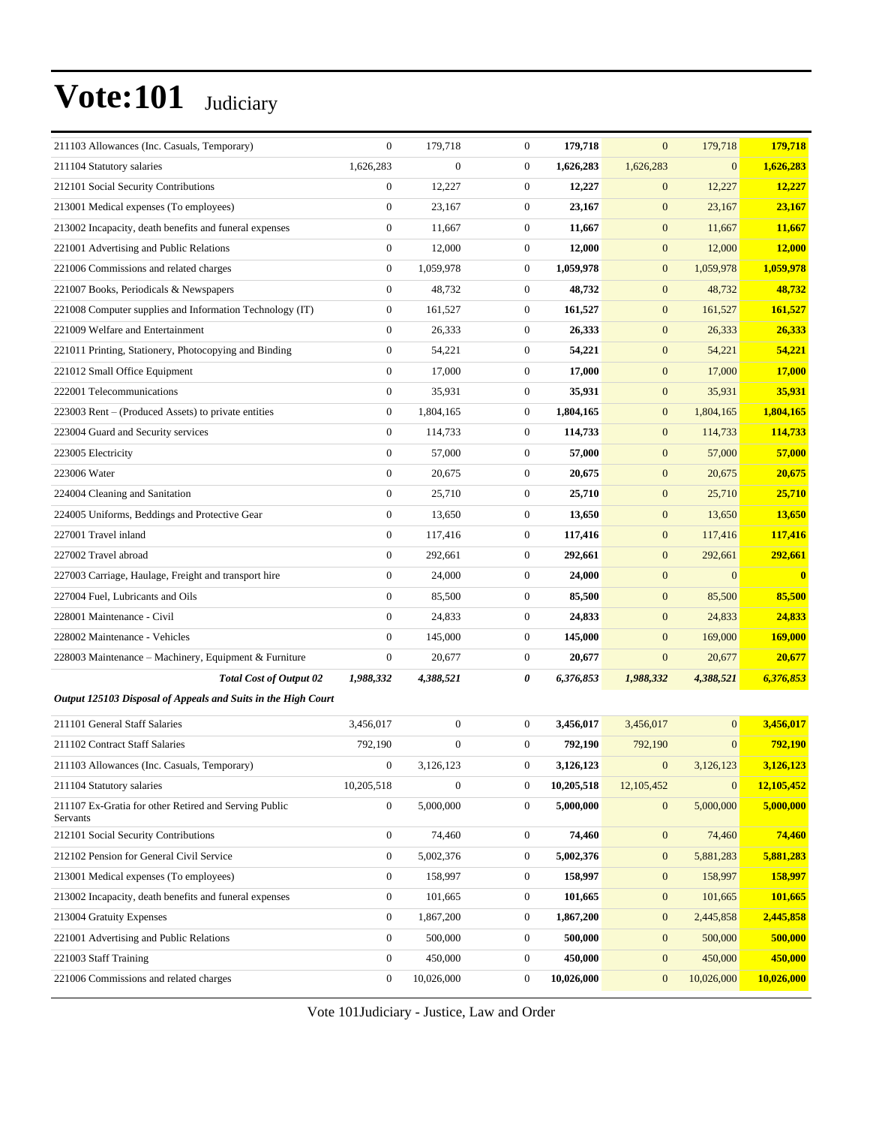| 211103 Allowances (Inc. Casuals, Temporary)                       | $\overline{0}$   | 179,718          | $\mathbf{0}$     | 179,718    | $\mathbf{0}$     | 179,718          | 179,718        |
|-------------------------------------------------------------------|------------------|------------------|------------------|------------|------------------|------------------|----------------|
| 211104 Statutory salaries                                         | 1,626,283        | $\overline{0}$   | $\mathbf{0}$     | 1,626,283  | 1,626,283        | $\overline{0}$   | 1,626,283      |
| 212101 Social Security Contributions                              | $\boldsymbol{0}$ | 12,227           | $\boldsymbol{0}$ | 12,227     | $\boldsymbol{0}$ | 12,227           | 12,227         |
| 213001 Medical expenses (To employees)                            | $\boldsymbol{0}$ | 23,167           | $\mathbf{0}$     | 23,167     | $\boldsymbol{0}$ | 23,167           | 23,167         |
| 213002 Incapacity, death benefits and funeral expenses            | $\mathbf{0}$     | 11,667           | $\mathbf{0}$     | 11,667     | $\mathbf{0}$     | 11,667           | 11,667         |
| 221001 Advertising and Public Relations                           | $\mathbf{0}$     | 12,000           | $\mathbf{0}$     | 12,000     | $\boldsymbol{0}$ | 12,000           | 12,000         |
| 221006 Commissions and related charges                            | $\mathbf{0}$     | 1,059,978        | $\mathbf{0}$     | 1,059,978  | $\mathbf{0}$     | 1,059,978        | 1,059,978      |
| 221007 Books, Periodicals & Newspapers                            | $\mathbf{0}$     | 48,732           | $\boldsymbol{0}$ | 48,732     | $\mathbf{0}$     | 48,732           | 48,732         |
| 221008 Computer supplies and Information Technology (IT)          | $\mathbf{0}$     | 161,527          | $\mathbf{0}$     | 161,527    | $\mathbf{0}$     | 161,527          | 161,527        |
| 221009 Welfare and Entertainment                                  | $\mathbf{0}$     | 26,333           | $\mathbf{0}$     | 26,333     | $\mathbf{0}$     | 26,333           | 26,333         |
| 221011 Printing, Stationery, Photocopying and Binding             | $\mathbf{0}$     | 54,221           | $\mathbf{0}$     | 54,221     | $\boldsymbol{0}$ | 54,221           | 54,221         |
| 221012 Small Office Equipment                                     | $\boldsymbol{0}$ | 17,000           | $\mathbf{0}$     | 17,000     | $\mathbf{0}$     | 17,000           | 17,000         |
| 222001 Telecommunications                                         | $\boldsymbol{0}$ | 35,931           | $\boldsymbol{0}$ | 35,931     | $\boldsymbol{0}$ | 35,931           | 35,931         |
| 223003 Rent – (Produced Assets) to private entities               | $\mathbf{0}$     | 1.804.165        | $\mathbf{0}$     | 1,804,165  | $\boldsymbol{0}$ | 1,804,165        | 1.804.165      |
| 223004 Guard and Security services                                | $\mathbf{0}$     | 114,733          | $\mathbf{0}$     | 114,733    | $\mathbf{0}$     | 114,733          | 114,733        |
| 223005 Electricity                                                | $\overline{0}$   | 57,000           | $\mathbf{0}$     | 57,000     | $\mathbf{0}$     | 57,000           | 57,000         |
| 223006 Water                                                      | $\boldsymbol{0}$ | 20,675           | $\mathbf{0}$     | 20.675     | $\mathbf{0}$     | 20,675           | 20,675         |
| 224004 Cleaning and Sanitation                                    | $\boldsymbol{0}$ | 25,710           | $\boldsymbol{0}$ | 25,710     | $\boldsymbol{0}$ | 25,710           | 25,710         |
| 224005 Uniforms, Beddings and Protective Gear                     | $\boldsymbol{0}$ | 13,650           | $\mathbf{0}$     | 13,650     | $\boldsymbol{0}$ | 13,650           | 13,650         |
| 227001 Travel inland                                              | $\boldsymbol{0}$ | 117,416          | $\mathbf{0}$     | 117,416    | $\mathbf{0}$     | 117,416          | 117,416        |
| 227002 Travel abroad                                              | $\overline{0}$   | 292,661          | $\mathbf{0}$     | 292,661    | $\mathbf{0}$     | 292,661          | 292,661        |
| 227003 Carriage, Haulage, Freight and transport hire              | $\boldsymbol{0}$ | 24,000           | $\mathbf{0}$     | 24,000     | $\mathbf{0}$     | $\overline{0}$   | $\bf{0}$       |
| 227004 Fuel, Lubricants and Oils                                  | $\boldsymbol{0}$ | 85,500           | $\boldsymbol{0}$ | 85,500     | $\boldsymbol{0}$ | 85,500           | 85,500         |
| 228001 Maintenance - Civil                                        | $\boldsymbol{0}$ | 24,833           | $\mathbf{0}$     | 24,833     | $\mathbf{0}$     | 24,833           | 24,833         |
| 228002 Maintenance - Vehicles                                     | $\boldsymbol{0}$ | 145,000          | $\mathbf{0}$     | 145,000    | $\mathbf{0}$     | 169,000          | <b>169,000</b> |
| 228003 Maintenance - Machinery, Equipment & Furniture             | $\boldsymbol{0}$ | 20,677           | $\mathbf{0}$     | 20,677     | $\boldsymbol{0}$ | 20,677           | 20,677         |
| <b>Total Cost of Output 02</b>                                    | 1,988,332        | 4,388,521        | 0                | 6,376,853  | 1,988,332        | 4,388,521        | 6,376,853      |
| Output 125103 Disposal of Appeals and Suits in the High Court     |                  |                  |                  |            |                  |                  |                |
| 211101 General Staff Salaries                                     | 3,456,017        | $\boldsymbol{0}$ | $\mathbf{0}$     | 3,456,017  | 3,456,017        | $\overline{0}$   | 3,456,017      |
| 211102 Contract Staff Salaries                                    | 792,190          | $\boldsymbol{0}$ | $\mathbf{0}$     | 792,190    | 792,190          | $\overline{0}$   | 792,190        |
| 211103 Allowances (Inc. Casuals, Temporary)                       | $\mathbf{0}$     | 3.126.123        | $\boldsymbol{0}$ | 3,126,123  | $\boldsymbol{0}$ | 3,126,123        | 3,126,123      |
| 211104 Statutory salaries                                         | 10,205,518       | $\boldsymbol{0}$ | $\boldsymbol{0}$ | 10,205,518 | 12,105,452       | $\boldsymbol{0}$ | 12,105,452     |
| 211107 Ex-Gratia for other Retired and Serving Public<br>Servants | $\overline{0}$   | 5,000,000        | $\mathbf{0}$     | 5,000,000  | $\boldsymbol{0}$ | 5,000,000        | 5,000,000      |
| 212101 Social Security Contributions                              | $\boldsymbol{0}$ | 74,460           | $\boldsymbol{0}$ | 74,460     | $\mathbf{0}$     | 74,460           | 74,460         |
| 212102 Pension for General Civil Service                          | $\boldsymbol{0}$ | 5,002,376        | $\boldsymbol{0}$ | 5,002,376  | $\boldsymbol{0}$ | 5,881,283        | 5,881,283      |
| 213001 Medical expenses (To employees)                            | $\mathbf{0}$     | 158,997          | $\boldsymbol{0}$ | 158,997    | $\mathbf{0}$     | 158,997          | 158,997        |
| 213002 Incapacity, death benefits and funeral expenses            | $\boldsymbol{0}$ | 101,665          | $\boldsymbol{0}$ | 101,665    | $\boldsymbol{0}$ | 101,665          | 101,665        |
| 213004 Gratuity Expenses                                          | $\boldsymbol{0}$ | 1,867,200        | $\boldsymbol{0}$ | 1,867,200  | $\boldsymbol{0}$ | 2,445,858        | 2,445,858      |
| 221001 Advertising and Public Relations                           | $\mathbf{0}$     | 500,000          | $\boldsymbol{0}$ | 500,000    | $\mathbf{0}$     | 500,000          | 500,000        |
| 221003 Staff Training                                             | $\boldsymbol{0}$ | 450,000          | $\boldsymbol{0}$ | 450,000    | $\mathbf{0}$     | 450,000          | 450,000        |
| 221006 Commissions and related charges                            | $\boldsymbol{0}$ | 10,026,000       | $\boldsymbol{0}$ | 10,026,000 | $\boldsymbol{0}$ | 10,026,000       | 10,026,000     |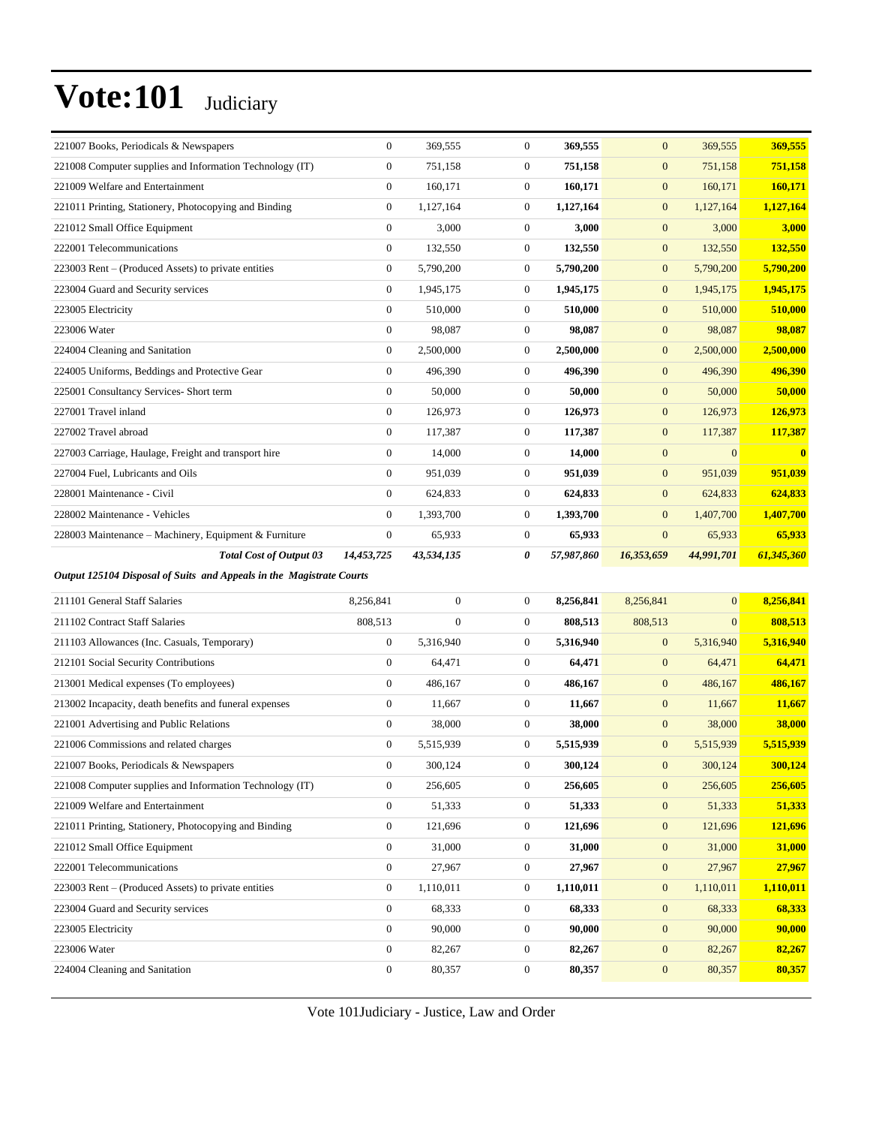| <b>Total Cost of Output 03</b>                           | 14,453,725       | 43,534,135 | 0              | 57,987,860 | 16,353,659     | 44,991,701 | 61,345,360   |
|----------------------------------------------------------|------------------|------------|----------------|------------|----------------|------------|--------------|
| 228003 Maintenance - Machinery, Equipment & Furniture    | $\mathbf{0}$     | 65,933     | $\overline{0}$ | 65,933     | $\overline{0}$ | 65,933     | 65,933       |
| 228002 Maintenance - Vehicles                            | $\Omega$         | 1,393,700  | $\Omega$       | 1,393,700  | $\overline{0}$ | 1,407,700  | 1,407,700    |
| 228001 Maintenance - Civil                               | $\mathbf{0}$     | 624,833    | $\overline{0}$ | 624,833    | $\mathbf{0}$   | 624,833    | 624,833      |
| 227004 Fuel, Lubricants and Oils                         | $\mathbf{0}$     | 951,039    | $\overline{0}$ | 951,039    | $\mathbf{0}$   | 951,039    | 951,039      |
| 227003 Carriage, Haulage, Freight and transport hire     | $\mathbf{0}$     | 14,000     | $\overline{0}$ | 14,000     | $\overline{0}$ | $\Omega$   | $\mathbf{0}$ |
| 227002 Travel abroad                                     | $\Omega$         | 117,387    | $\Omega$       | 117,387    | $\mathbf{0}$   | 117,387    | 117,387      |
| 227001 Travel inland                                     | $\mathbf{0}$     | 126,973    | $\overline{0}$ | 126,973    | $\mathbf{0}$   | 126,973    | 126,973      |
| 225001 Consultancy Services- Short term                  | $\mathbf{0}$     | 50,000     | $\overline{0}$ | 50,000     | $\mathbf{0}$   | 50,000     | 50,000       |
| 224005 Uniforms, Beddings and Protective Gear            | $\Omega$         | 496,390    | $\Omega$       | 496,390    | $\overline{0}$ | 496,390    | 496,390      |
| 224004 Cleaning and Sanitation                           | $\mathbf{0}$     | 2,500,000  | $\overline{0}$ | 2,500,000  | $\mathbf{0}$   | 2,500,000  | 2,500,000    |
| 223006 Water                                             | $\mathbf{0}$     | 98,087     | $\Omega$       | 98,087     | $\mathbf{0}$   | 98,087     | 98,087       |
| 223005 Electricity                                       | $\Omega$         | 510,000    | $\Omega$       | 510,000    | $\mathbf{0}$   | 510,000    | 510,000      |
| 223004 Guard and Security services                       | $\mathbf{0}$     | 1,945,175  | $\overline{0}$ | 1,945,175  | $\mathbf{0}$   | 1,945,175  | 1,945,175    |
| 223003 Rent – (Produced Assets) to private entities      | $\boldsymbol{0}$ | 5,790,200  | $\overline{0}$ | 5,790,200  | $\mathbf{0}$   | 5,790,200  | 5,790,200    |
| 222001 Telecommunications                                | $\mathbf{0}$     | 132,550    | $\overline{0}$ | 132,550    | $\mathbf{0}$   | 132,550    | 132,550      |
| 221012 Small Office Equipment                            | $\mathbf{0}$     | 3,000      | $\overline{0}$ | 3,000      | $\mathbf{0}$   | 3,000      | 3,000        |
| 221011 Printing, Stationery, Photocopying and Binding    | $\mathbf{0}$     | 1,127,164  | $\overline{0}$ | 1,127,164  | $\mathbf{0}$   | 1,127,164  | 1,127,164    |
| 221009 Welfare and Entertainment                         | $\mathbf{0}$     | 160,171    | $\overline{0}$ | 160,171    | $\mathbf{0}$   | 160,171    | 160,171      |
| 221008 Computer supplies and Information Technology (IT) | $\mathbf{0}$     | 751,158    | $\Omega$       | 751,158    | $\mathbf{0}$   | 751,158    | 751,158      |
| 221007 Books, Periodicals & Newspapers                   | $\mathbf{0}$     | 369,555    | $\overline{0}$ | 369,555    | $\mathbf{0}$   | 369,555    | 369,555      |

*Output 125104 Disposal of Suits and Appeals in the Magistrate Courts*

| 211101 General Staff Salaries                            | 8,256,841      | $\mathbf{0}$ | $\overline{0}$ | 8.256.841 | 8,256,841      | $\overline{0}$ | 8,256,841 |
|----------------------------------------------------------|----------------|--------------|----------------|-----------|----------------|----------------|-----------|
| 211102 Contract Staff Salaries                           | 808,513        | $\mathbf{0}$ | $\overline{0}$ | 808,513   | 808,513        | $\overline{0}$ | 808,513   |
| 211103 Allowances (Inc. Casuals, Temporary)              | $\overline{0}$ | 5,316,940    | $\overline{0}$ | 5,316,940 | $\mathbf{0}$   | 5,316,940      | 5,316,940 |
| 212101 Social Security Contributions                     | $\overline{0}$ | 64,471       | $\overline{0}$ | 64,471    | $\mathbf{0}$   | 64,471         | 64,471    |
| 213001 Medical expenses (To employees)                   | $\overline{0}$ | 486,167      | $\Omega$       | 486,167   | $\mathbf{0}$   | 486,167        | 486,167   |
| 213002 Incapacity, death benefits and funeral expenses   | $\overline{0}$ | 11,667       | $\overline{0}$ | 11,667    | $\mathbf{0}$   | 11,667         | 11,667    |
| 221001 Advertising and Public Relations                  | $\overline{0}$ | 38,000       | $\overline{0}$ | 38,000    | $\mathbf{0}$   | 38,000         | 38,000    |
| 221006 Commissions and related charges                   | $\overline{0}$ | 5,515,939    | $\overline{0}$ | 5,515,939 | $\overline{0}$ | 5,515,939      | 5,515,939 |
| 221007 Books, Periodicals & Newspapers                   | $\overline{0}$ | 300,124      | $\Omega$       | 300,124   | $\overline{0}$ | 300,124        | 300,124   |
| 221008 Computer supplies and Information Technology (IT) | $\overline{0}$ | 256,605      | $\Omega$       | 256,605   | $\mathbf{0}$   | 256,605        | 256,605   |
| 221009 Welfare and Entertainment                         | $\Omega$       | 51,333       | $\Omega$       | 51,333    | $\mathbf{0}$   | 51,333         | 51,333    |
| 221011 Printing, Stationery, Photocopying and Binding    | $\overline{0}$ | 121,696      | $\Omega$       | 121,696   | $\mathbf{0}$   | 121,696        | 121,696   |
| 221012 Small Office Equipment                            | $\overline{0}$ | 31,000       | $\overline{0}$ | 31,000    | $\overline{0}$ | 31,000         | 31,000    |
| 222001 Telecommunications                                | $\overline{0}$ | 27,967       | $\Omega$       | 27,967    | $\overline{0}$ | 27,967         | 27,967    |
| 223003 Rent – (Produced Assets) to private entities      | $\overline{0}$ | 1,110,011    | $\overline{0}$ | 1,110,011 | $\mathbf{0}$   | 1,110,011      | 1,110,011 |
| 223004 Guard and Security services                       | $\overline{0}$ | 68,333       | $\overline{0}$ | 68,333    | $\mathbf{0}$   | 68,333         | 68,333    |
| 223005 Electricity                                       | $\overline{0}$ | 90,000       | $\overline{0}$ | 90,000    | $\mathbf{0}$   | 90,000         | 90,000    |
| 223006 Water                                             | $\overline{0}$ | 82,267       | $\overline{0}$ | 82,267    | $\overline{0}$ | 82,267         | 82,267    |
| 224004 Cleaning and Sanitation                           | $\mathbf{0}$   | 80,357       | $\overline{0}$ | 80,357    | $\mathbf{0}$   | 80,357         | 80,357    |
|                                                          |                |              |                |           |                |                |           |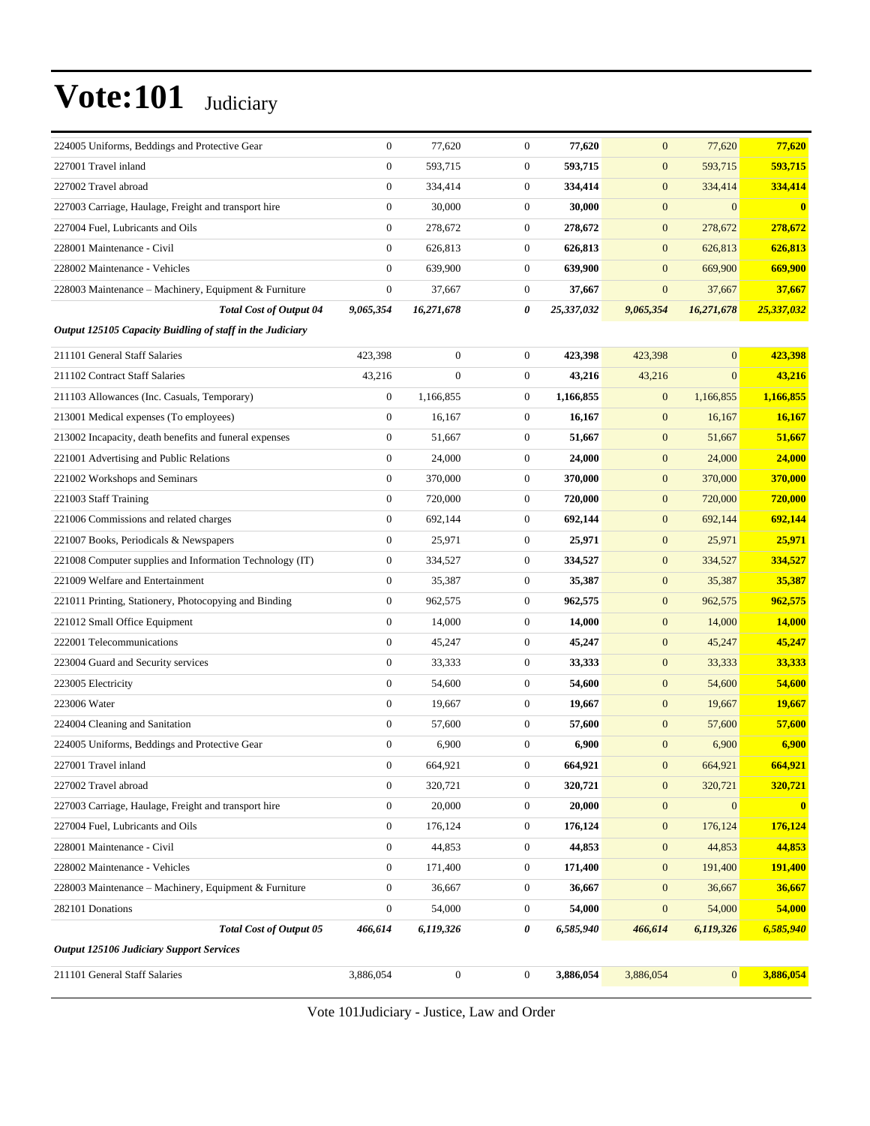| 224005 Uniforms, Beddings and Protective Gear             | $\boldsymbol{0}$ | 77,620           | $\boldsymbol{0}$ | 77,620     | $\mathbf{0}$     | 77,620         | 77,620     |
|-----------------------------------------------------------|------------------|------------------|------------------|------------|------------------|----------------|------------|
| 227001 Travel inland                                      | $\boldsymbol{0}$ | 593,715          | $\boldsymbol{0}$ | 593,715    | $\mathbf{0}$     | 593,715        | 593,715    |
| 227002 Travel abroad                                      | $\boldsymbol{0}$ | 334,414          | $\boldsymbol{0}$ | 334,414    | $\mathbf{0}$     | 334,414        | 334,414    |
| 227003 Carriage, Haulage, Freight and transport hire      | $\mathbf{0}$     | 30,000           | $\boldsymbol{0}$ | 30,000     | $\mathbf{0}$     | $\overline{0}$ | $\bf{0}$   |
| 227004 Fuel, Lubricants and Oils                          | $\boldsymbol{0}$ | 278,672          | $\boldsymbol{0}$ | 278,672    | $\mathbf{0}$     | 278,672        | 278,672    |
| 228001 Maintenance - Civil                                | $\mathbf{0}$     | 626,813          | $\boldsymbol{0}$ | 626,813    | $\mathbf{0}$     | 626,813        | 626,813    |
| 228002 Maintenance - Vehicles                             | $\theta$         | 639,900          | $\boldsymbol{0}$ | 639,900    | $\mathbf{0}$     | 669,900        | 669,900    |
| 228003 Maintenance – Machinery, Equipment & Furniture     | $\boldsymbol{0}$ | 37,667           | $\boldsymbol{0}$ | 37,667     | $\boldsymbol{0}$ | 37,667         | 37,667     |
| <b>Total Cost of Output 04</b>                            | 9,065,354        | 16,271,678       | 0                | 25,337,032 | 9,065,354        | 16,271,678     | 25,337,032 |
| Output 125105 Capacity Buidling of staff in the Judiciary |                  |                  |                  |            |                  |                |            |
| 211101 General Staff Salaries                             | 423,398          | $\boldsymbol{0}$ | $\boldsymbol{0}$ | 423,398    | 423,398          | $\overline{0}$ | 423,398    |
| 211102 Contract Staff Salaries                            | 43,216           | $\mathbf{0}$     | $\boldsymbol{0}$ | 43,216     | 43,216           | $\overline{0}$ | 43,216     |
| 211103 Allowances (Inc. Casuals, Temporary)               | $\mathbf{0}$     | 1,166,855        | $\boldsymbol{0}$ | 1,166,855  | $\mathbf{0}$     | 1,166,855      | 1,166,855  |
| 213001 Medical expenses (To employees)                    | $\mathbf{0}$     | 16,167           | $\boldsymbol{0}$ | 16,167     | $\mathbf{0}$     | 16,167         | 16,167     |
| 213002 Incapacity, death benefits and funeral expenses    | $\boldsymbol{0}$ | 51,667           | $\boldsymbol{0}$ | 51,667     | $\mathbf{0}$     | 51,667         | 51,667     |
| 221001 Advertising and Public Relations                   | $\boldsymbol{0}$ | 24,000           | $\boldsymbol{0}$ | 24,000     | $\mathbf{0}$     | 24,000         | 24,000     |
| 221002 Workshops and Seminars                             | $\boldsymbol{0}$ | 370,000          | $\boldsymbol{0}$ | 370,000    | $\mathbf{0}$     | 370,000        | 370,000    |
| 221003 Staff Training                                     | $\mathbf{0}$     | 720,000          | $\boldsymbol{0}$ | 720,000    | $\mathbf{0}$     | 720,000        | 720,000    |
| 221006 Commissions and related charges                    | $\boldsymbol{0}$ | 692,144          | $\boldsymbol{0}$ | 692,144    | $\mathbf{0}$     | 692,144        | 692,144    |
| 221007 Books, Periodicals & Newspapers                    | $\boldsymbol{0}$ | 25,971           | $\boldsymbol{0}$ | 25,971     | $\mathbf{0}$     | 25,971         | 25,971     |
| 221008 Computer supplies and Information Technology (IT)  | $\mathbf{0}$     | 334,527          | $\boldsymbol{0}$ | 334,527    | $\mathbf{0}$     | 334,527        | 334,527    |
| 221009 Welfare and Entertainment                          | $\boldsymbol{0}$ | 35,387           | $\boldsymbol{0}$ | 35,387     | $\mathbf{0}$     | 35,387         | 35,387     |
| 221011 Printing, Stationery, Photocopying and Binding     | $\mathbf{0}$     | 962,575          | $\boldsymbol{0}$ | 962,575    | $\mathbf{0}$     | 962,575        | 962,575    |
| 221012 Small Office Equipment                             | $\boldsymbol{0}$ | 14,000           | $\boldsymbol{0}$ | 14,000     | $\mathbf{0}$     | 14,000         | 14,000     |
| 222001 Telecommunications                                 | $\boldsymbol{0}$ | 45,247           | $\boldsymbol{0}$ | 45,247     | $\mathbf{0}$     | 45,247         | 45,247     |
| 223004 Guard and Security services                        | $\boldsymbol{0}$ | 33,333           | $\boldsymbol{0}$ | 33,333     | $\mathbf{0}$     | 33,333         | 33,333     |
| 223005 Electricity                                        | $\boldsymbol{0}$ | 54,600           | $\boldsymbol{0}$ | 54,600     | $\mathbf{0}$     | 54,600         | 54,600     |
| 223006 Water                                              | $\mathbf{0}$     | 19,667           | $\boldsymbol{0}$ | 19,667     | $\mathbf{0}$     | 19,667         | 19,667     |
| 224004 Cleaning and Sanitation                            | $\boldsymbol{0}$ | 57,600           | $\boldsymbol{0}$ | 57,600     | $\mathbf{0}$     | 57,600         | 57,600     |
| 224005 Uniforms, Beddings and Protective Gear             | $\boldsymbol{0}$ | 6,900            | $\boldsymbol{0}$ | 6,900      | $\boldsymbol{0}$ | 6,900          | 6,900      |
| 227001 Travel inland                                      | $\mathbf{0}$     | 664,921          | $\mathbf{0}$     | 664,921    | $\mathbf{0}$     | 664.921        | 664,921    |
| 227002 Travel abroad                                      | $\boldsymbol{0}$ | 320,721          | $\boldsymbol{0}$ | 320,721    | $\mathbf{0}$     | 320,721        | 320,721    |
| 227003 Carriage, Haulage, Freight and transport hire      | $\boldsymbol{0}$ | 20,000           | $\boldsymbol{0}$ | 20,000     | $\boldsymbol{0}$ | $\mathbf{0}$   | $\bf{0}$   |
| 227004 Fuel, Lubricants and Oils                          | $\mathbf{0}$     | 176,124          | $\boldsymbol{0}$ | 176,124    | $\boldsymbol{0}$ | 176,124        | 176,124    |
| 228001 Maintenance - Civil                                | $\mathbf{0}$     | 44,853           | $\boldsymbol{0}$ | 44,853     | $\boldsymbol{0}$ | 44,853         | 44,853     |
| 228002 Maintenance - Vehicles                             | $\mathbf{0}$     | 171,400          | $\boldsymbol{0}$ | 171,400    | $\boldsymbol{0}$ | 191,400        | 191,400    |
| 228003 Maintenance – Machinery, Equipment & Furniture     | $\boldsymbol{0}$ | 36,667           | $\boldsymbol{0}$ | 36,667     | $\mathbf{0}$     | 36,667         | 36,667     |
| 282101 Donations                                          | $\boldsymbol{0}$ | 54,000           | $\boldsymbol{0}$ | 54,000     | $\boldsymbol{0}$ | 54,000         | 54,000     |
| <b>Total Cost of Output 05</b>                            | 466,614          | 6,119,326        | 0                | 6,585,940  | 466,614          | 6,119,326      | 6,585,940  |
| <b>Output 125106 Judiciary Support Services</b>           |                  |                  |                  |            |                  |                |            |
| 211101 General Staff Salaries                             | 3,886,054        | $\boldsymbol{0}$ | $\boldsymbol{0}$ | 3,886,054  | 3,886,054        | $\overline{0}$ | 3,886,054  |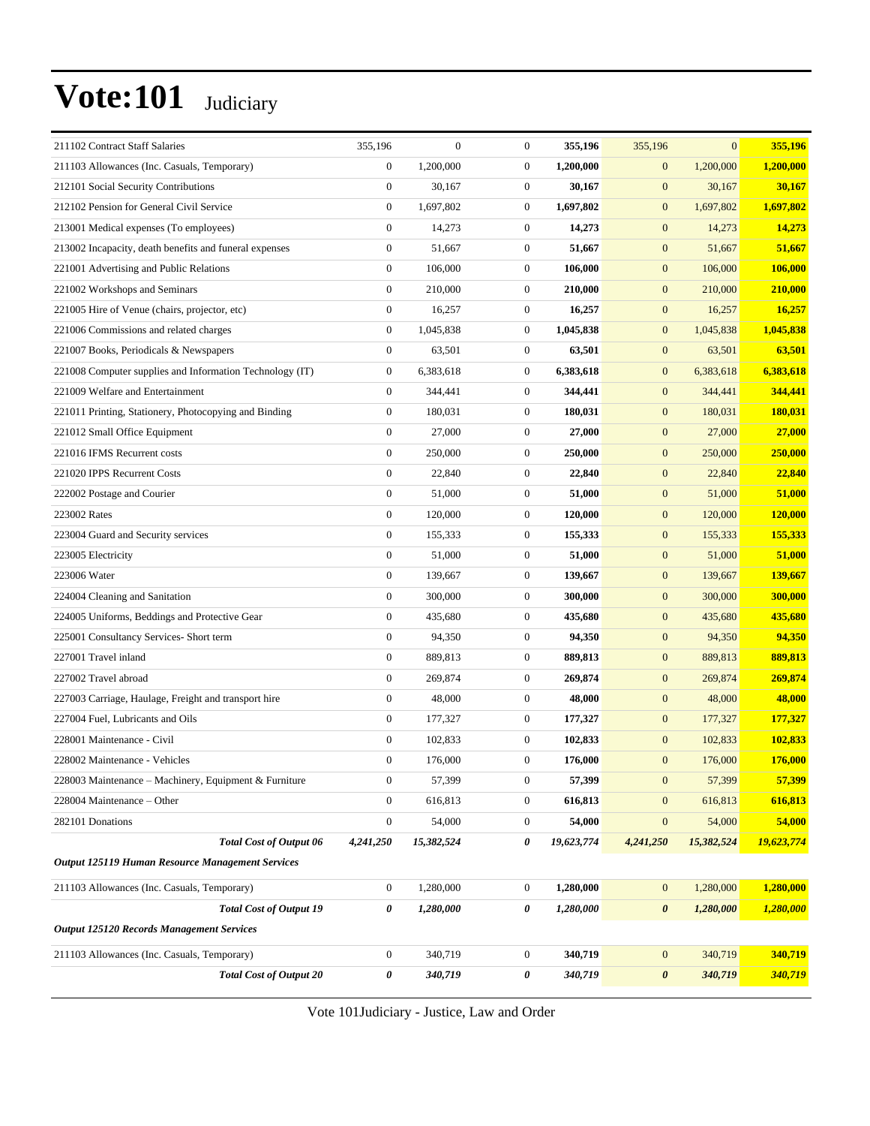| 211102 Contract Staff Salaries                           | 355,196          | $\mathbf{0}$ | $\boldsymbol{0}$ | 355,196    | 355,196               | $\overline{0}$ | 355,196    |
|----------------------------------------------------------|------------------|--------------|------------------|------------|-----------------------|----------------|------------|
| 211103 Allowances (Inc. Casuals, Temporary)              | $\boldsymbol{0}$ | 1,200,000    | $\boldsymbol{0}$ | 1,200,000  | $\boldsymbol{0}$      | 1,200,000      | 1,200,000  |
| 212101 Social Security Contributions                     | $\boldsymbol{0}$ | 30,167       | $\boldsymbol{0}$ | 30,167     | $\boldsymbol{0}$      | 30,167         | 30,167     |
| 212102 Pension for General Civil Service                 | $\boldsymbol{0}$ | 1,697,802    | $\boldsymbol{0}$ | 1,697,802  | $\boldsymbol{0}$      | 1,697,802      | 1,697,802  |
| 213001 Medical expenses (To employees)                   | $\mathbf{0}$     | 14,273       | $\boldsymbol{0}$ | 14,273     | $\boldsymbol{0}$      | 14,273         | 14,273     |
| 213002 Incapacity, death benefits and funeral expenses   | $\mathbf{0}$     | 51,667       | $\boldsymbol{0}$ | 51,667     | $\boldsymbol{0}$      | 51,667         | 51,667     |
| 221001 Advertising and Public Relations                  | $\boldsymbol{0}$ | 106,000      | $\boldsymbol{0}$ | 106,000    | $\boldsymbol{0}$      | 106,000        | 106,000    |
| 221002 Workshops and Seminars                            | $\boldsymbol{0}$ | 210,000      | $\boldsymbol{0}$ | 210,000    | $\mathbf{0}$          | 210,000        | 210,000    |
| 221005 Hire of Venue (chairs, projector, etc)            | $\mathbf{0}$     | 16,257       | $\boldsymbol{0}$ | 16,257     | $\boldsymbol{0}$      | 16,257         | 16,257     |
| 221006 Commissions and related charges                   | $\mathbf{0}$     | 1,045,838    | $\boldsymbol{0}$ | 1,045,838  | $\boldsymbol{0}$      | 1,045,838      | 1,045,838  |
| 221007 Books, Periodicals & Newspapers                   | $\mathbf{0}$     | 63,501       | $\boldsymbol{0}$ | 63,501     | $\boldsymbol{0}$      | 63,501         | 63,501     |
| 221008 Computer supplies and Information Technology (IT) | $\boldsymbol{0}$ | 6,383,618    | $\boldsymbol{0}$ | 6,383,618  | $\boldsymbol{0}$      | 6,383,618      | 6,383,618  |
| 221009 Welfare and Entertainment                         | $\boldsymbol{0}$ | 344,441      | $\boldsymbol{0}$ | 344,441    | $\mathbf{0}$          | 344,441        | 344,441    |
| 221011 Printing, Stationery, Photocopying and Binding    | $\mathbf{0}$     | 180,031      | $\boldsymbol{0}$ | 180,031    | $\boldsymbol{0}$      | 180,031        | 180,031    |
| 221012 Small Office Equipment                            | $\mathbf{0}$     | 27,000       | $\boldsymbol{0}$ | 27,000     | $\boldsymbol{0}$      | 27,000         | 27,000     |
| 221016 IFMS Recurrent costs                              | $\mathbf{0}$     | 250,000      | $\boldsymbol{0}$ | 250,000    | $\mathbf{0}$          | 250,000        | 250,000    |
| 221020 IPPS Recurrent Costs                              | $\boldsymbol{0}$ | 22,840       | $\boldsymbol{0}$ | 22,840     | $\boldsymbol{0}$      | 22,840         | 22,840     |
| 222002 Postage and Courier                               | $\boldsymbol{0}$ | 51,000       | $\boldsymbol{0}$ | 51,000     | $\boldsymbol{0}$      | 51,000         | 51,000     |
| 223002 Rates                                             | $\boldsymbol{0}$ | 120,000      | $\boldsymbol{0}$ | 120,000    | $\mathbf{0}$          | 120,000        | 120,000    |
| 223004 Guard and Security services                       | $\mathbf{0}$     | 155,333      | $\boldsymbol{0}$ | 155,333    | $\boldsymbol{0}$      | 155,333        | 155,333    |
| 223005 Electricity                                       | $\mathbf{0}$     | 51,000       | $\boldsymbol{0}$ | 51,000     | $\boldsymbol{0}$      | 51,000         | 51,000     |
| 223006 Water                                             | $\boldsymbol{0}$ | 139,667      | $\boldsymbol{0}$ | 139,667    | $\boldsymbol{0}$      | 139,667        | 139,667    |
| 224004 Cleaning and Sanitation                           | $\boldsymbol{0}$ | 300,000      | $\boldsymbol{0}$ | 300,000    | $\boldsymbol{0}$      | 300,000        | 300,000    |
| 224005 Uniforms, Beddings and Protective Gear            | $\boldsymbol{0}$ | 435,680      | $\boldsymbol{0}$ | 435,680    | $\boldsymbol{0}$      | 435,680        | 435,680    |
| 225001 Consultancy Services- Short term                  | $\boldsymbol{0}$ | 94,350       | $\boldsymbol{0}$ | 94,350     | $\boldsymbol{0}$      | 94,350         | 94,350     |
| 227001 Travel inland                                     | $\boldsymbol{0}$ | 889,813      | $\boldsymbol{0}$ | 889,813    | $\boldsymbol{0}$      | 889,813        | 889,813    |
| 227002 Travel abroad                                     | $\boldsymbol{0}$ | 269,874      | $\boldsymbol{0}$ | 269,874    | $\boldsymbol{0}$      | 269,874        | 269,874    |
| 227003 Carriage, Haulage, Freight and transport hire     | $\boldsymbol{0}$ | 48,000       | $\boldsymbol{0}$ | 48,000     | $\boldsymbol{0}$      | 48,000         | 48,000     |
| 227004 Fuel, Lubricants and Oils                         | $\boldsymbol{0}$ | 177,327      | $\boldsymbol{0}$ | 177,327    | $\boldsymbol{0}$      | 177,327        | 177,327    |
| 228001 Maintenance - Civil                               | $\boldsymbol{0}$ | 102,833      | $\boldsymbol{0}$ | 102,833    | $\mathbf{0}$          | 102,833        | 102,833    |
| 228002 Maintenance - Vehicles                            | $\boldsymbol{0}$ | 176,000      | $\boldsymbol{0}$ | 176,000    | $\mathbf{0}$          | 176,000        | 176,000    |
| 228003 Maintenance - Machinery, Equipment & Furniture    | $\boldsymbol{0}$ | 57,399       | $\boldsymbol{0}$ | 57,399     | $\boldsymbol{0}$      | 57,399         | 57,399     |
| 228004 Maintenance - Other                               | $\boldsymbol{0}$ | 616,813      | $\boldsymbol{0}$ | 616,813    | $\mathbf{0}$          | 616,813        | 616,813    |
| 282101 Donations                                         | $\boldsymbol{0}$ | 54,000       | $\boldsymbol{0}$ | 54,000     | $\boldsymbol{0}$      | 54,000         | 54,000     |
| Total Cost of Output 06                                  | 4,241,250        | 15,382,524   | 0                | 19,623,774 | 4,241,250             | 15,382,524     | 19,623,774 |
| Output 125119 Human Resource Management Services         |                  |              |                  |            |                       |                |            |
| 211103 Allowances (Inc. Casuals, Temporary)              | $\boldsymbol{0}$ | 1,280,000    | $\boldsymbol{0}$ | 1,280,000  | $\mathbf{0}$          | 1,280,000      | 1,280,000  |
| <b>Total Cost of Output 19</b>                           | 0                | 1,280,000    | 0                | 1,280,000  | $\boldsymbol{\theta}$ | 1,280,000      | 1,280,000  |
| <b>Output 125120 Records Management Services</b>         |                  |              |                  |            |                       |                |            |
| 211103 Allowances (Inc. Casuals, Temporary)              | $\boldsymbol{0}$ | 340,719      | $\boldsymbol{0}$ | 340,719    | $\mathbf{0}$          | 340,719        | 340,719    |
| <b>Total Cost of Output 20</b>                           | 0                | 340,719      | 0                | 340,719    | $\pmb{\theta}$        | 340,719        | 340,719    |
|                                                          |                  |              |                  |            |                       |                |            |